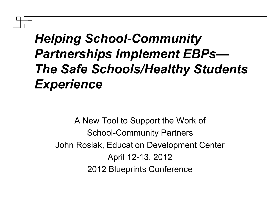#### *Helping School-Community Partnerships Implement EBPs— The Safe Schools/Healthy Students Experience*

A New Tool to Support the Work of School-Community Partners John Rosiak, Education Development Center April 12-13, 2012 2012 Blueprints Conference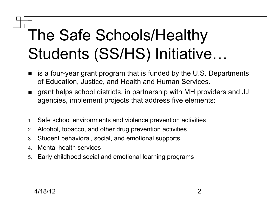# The Safe Schools/Healthy Students (SS/HS) Initiative…

- is a four-year grant program that is funded by the U.S. Departments of Education, Justice, and Health and Human Services.
- grant helps school districts, in partnership with MH providers and JJ agencies, implement projects that address five elements:
- 1. Safe school environments and violence prevention activities
- 2. Alcohol, tobacco, and other drug prevention activities
- 3. Student behavioral, social, and emotional supports
- 4. Mental health services
- 5. Early childhood social and emotional learning programs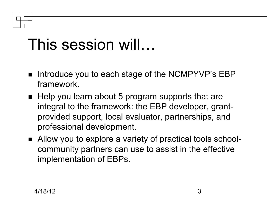## This session will…

- Introduce you to each stage of the NCMPYVP's EBP framework.
- $\blacksquare$  Help you learn about 5 program supports that are integral to the framework: the EBP developer, grantprovided support, local evaluator, partnerships, and professional development.
- Allow you to explore a variety of practical tools schoolcommunity partners can use to assist in the effective implementation of EBPs.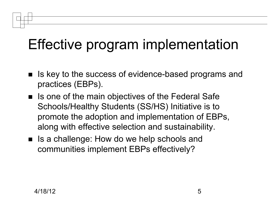### Effective program implementation

- Is key to the success of evidence-based programs and practices (EBPs).
- Is one of the main objectives of the Federal Safe Schools/Healthy Students (SS/HS) Initiative is to promote the adoption and implementation of EBPs, along with effective selection and sustainability.
- Is a challenge: How do we help schools and communities implement EBPs effectively?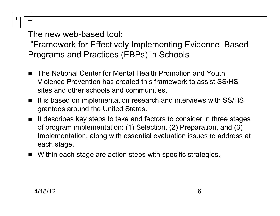The new web-based tool:

"Framework for Effectively Implementing Evidence–Based Programs and Practices (EBPs) in Schools

- The National Center for Mental Health Promotion and Youth Violence Prevention has created this framework to assist SS/HS sites and other schools and communities.
- It is based on implementation research and interviews with SS/HS grantees around the United States.
- It describes key steps to take and factors to consider in three stages of program implementation: (1) Selection, (2) Preparation, and (3) Implementation, along with essential evaluation issues to address at each stage.
- Within each stage are action steps with specific strategies.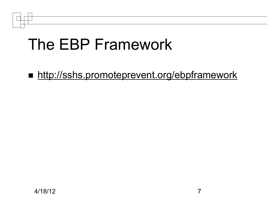

**http://sshs.promoteprevent.org/ebpframework**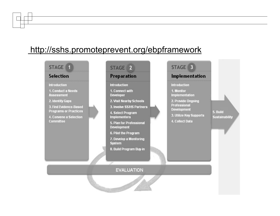#### http://sshs.promoteprevent.org/ebpframework

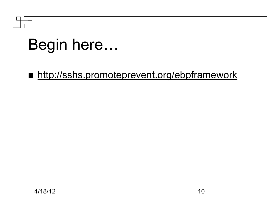## Begin here…

■ http://sshs.promoteprevent.org/ebpframework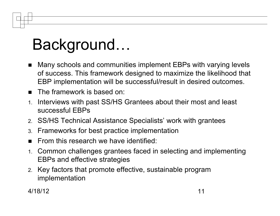# Background…

- Many schools and communities implement EBPs with varying levels of success. This framework designed to maximize the likelihood that EBP implementation will be successful/result in desired outcomes.
- **The framework is based on:**
- 1. Interviews with past SS/HS Grantees about their most and least successful EBPs
- 2. SS/HS Technical Assistance Specialists' work with grantees
- 3. Frameworks for best practice implementation
- From this research we have identified:
- 1. Common challenges grantees faced in selecting and implementing EBPs and effective strategies
- 2. Key factors that promote effective, sustainable program implementation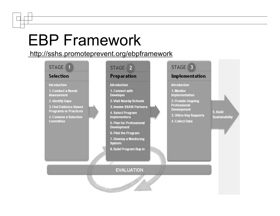## EBP Framework

http://sshs.promoteprevent.org/ebpframework

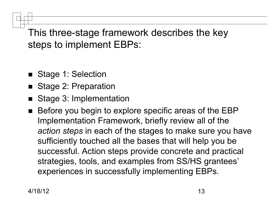This three-stage framework describes the key steps to implement EBPs:

- Stage 1: Selection
- Stage 2: Preparation
- Stage 3: Implementation
- Before you begin to explore specific areas of the EBP Implementation Framework, briefly review all of the *action steps* in each of the stages to make sure you have sufficiently touched all the bases that will help you be successful. Action steps provide concrete and practical strategies, tools, and examples from SS/HS grantees' experiences in successfully implementing EBPs.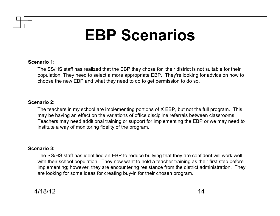## **EBP Scenarios**

#### **Scenario 1:**

The SS/HS staff has realized that the EBP they chose for their district is not suitable for their population. They need to select a more appropriate EBP. They're looking for advice on how to choose the new EBP and what they need to do to get permission to do so.

#### **Scenario 2:**

The teachers in my school are implementing portions of X EBP, but not the full program. This may be having an effect on the variations of office discipline referrals between classrooms. Teachers may need additional training or support for implementing the EBP or we may need to institute a way of monitoring fidelity of the program.

#### **Scenario 3:**

The SS/HS staff has identified an EBP to reduce bullying that they are confident will work well with their school population. They now want to hold a teacher training as their first step before implementing; however, they are encountering resistance from the district administration. They are looking for some ideas for creating buy-in for their chosen program.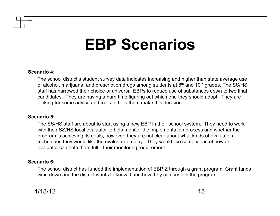### **EBP Scenarios**

#### **Scenario 4:**

The school district's student survey data indicates increasing and higher than state average use of alcohol, marijuana, and prescription drugs among students at 8<sup>th</sup> and 10<sup>th</sup> grades. The SS/HS staff has narrowed their choice of universal EBPs to reduce use of substances down to two final candidates. They are having a hard time figuring out which one they should adopt. They are looking for some advice and tools to help them make this decision.

#### **Scenario 5:**

The SS/HS staff are about to start using a new EBP in their school system. They need to work with their SS/HS local evaluator to help monitor the implementation process and whether the program is achieving its goals; however, they are not clear about what kinds of evaluation techniques they would like the evaluator employ. They would like some ideas of how an evaluator can help them fulfill their monitoring requirement.

#### **Scenario 6:**

The school district has funded the implementation of EBP Z through a grant program. Grant funds wind down and the district wants to know if and how they can sustain the program.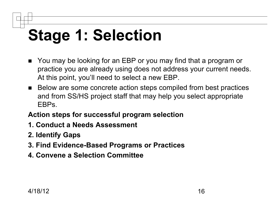# **Stage 1: Selection**

- You may be looking for an EBP or you may find that a program or practice you are already using does not address your current needs. At this point, you'll need to select a new EBP.
- Below are some concrete action steps compiled from best practices and from SS/HS project staff that may help you select appropriate EBPs.

#### **Action steps for successful program selection**

- **1. Conduct a Needs Assessment**
- **2. Identify Gaps**
- **3. Find Evidence-Based Programs or Practices**
- **4. Convene a Selection Committee**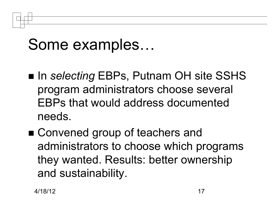### Some examples…

- In *selecting* EBPs, Putnam OH site SSHS program administrators choose several EBPs that would address documented needs.
- Convened group of teachers and administrators to choose which programs they wanted. Results: better ownership and sustainability.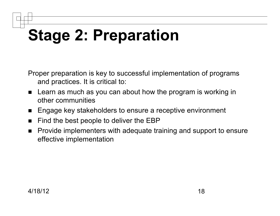# **Stage 2: Preparation**

Proper preparation is key to successful implementation of programs and practices. It is critical to:

- **E** Learn as much as you can about how the program is working in other communities
- **Engage key stakeholders to ensure a receptive environment**
- Find the best people to deliver the EBP
- **Provide implementers with adequate training and support to ensure** effective implementation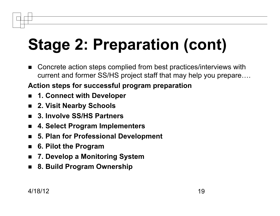# **Stage 2: Preparation (cont)**

■ Concrete action steps complied from best practices/interviews with current and former SS/HS project staff that may help you prepare….

#### **Action steps for successful program preparation**

- **1. Connect with Developer**
- **2. Visit Nearby Schools**
- **3. Involve SS/HS Partners**
- **4. Select Program Implementers**
- **5. Plan for Professional Development**
- **6. Pilot the Program**
- **7. Develop a Monitoring System**
- **8. Build Program Ownership**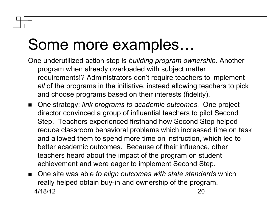### Some more examples…

- One underutilized action step is *building program ownership*. Another program when already overloaded with subject matter requirements!? Administrators don't require teachers to implement *all* of the programs in the initiative, instead allowing teachers to pick and choose programs based on their interests (fidelity).
- One strategy: *link programs to academic outcomes*. One project director convinced a group of influential teachers to pilot Second Step. Teachers experienced firsthand how Second Step helped reduce classroom behavioral problems which increased time on task and allowed them to spend more time on instruction, which led to better academic outcomes. Because of their influence, other teachers heard about the impact of the program on student achievement and were eager to implement Second Step.
- One site was able *to align outcomes with state standards* which really helped obtain buy-in and ownership of the program. 4/18/12 20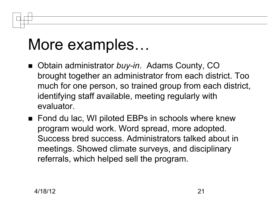## More examples…

- Obtain administrator *buy-in*. Adams County, CO brought together an administrator from each district. Too much for one person, so trained group from each district, identifying staff available, meeting regularly with evaluator.
- Fond du lac, WI piloted EBPs in schools where knew program would work. Word spread, more adopted. Success bred success. Administrators talked about in meetings. Showed climate surveys, and disciplinary referrals, which helped sell the program.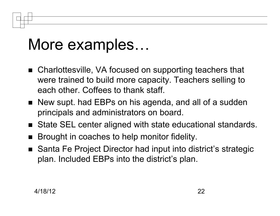## More examples…

- Charlottesville, VA focused on supporting teachers that were trained to build more capacity. Teachers selling to each other. Coffees to thank staff.
- New supt. had EBPs on his agenda, and all of a sudden principals and administrators on board.
- State SEL center aligned with state educational standards.
- Brought in coaches to help monitor fidelity.
- Santa Fe Project Director had input into district's strategic plan. Included EBPs into the district's plan.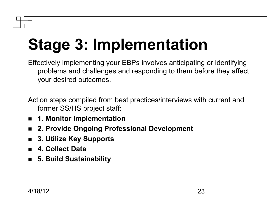# **Stage 3: Implementation**

Effectively implementing your EBPs involves anticipating or identifying problems and challenges and responding to them before they affect your desired outcomes.

Action steps compiled from best practices/interviews with current and former SS/HS project staff:

- **1. Monitor Implementation**
- **2. Provide Ongoing Professional Development**
- **3. Utilize Key Supports**
- **4. Collect Data**
- **5. Build Sustainability**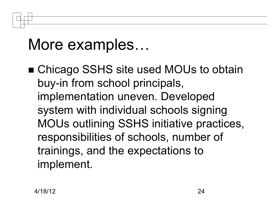## More examples…

■ Chicago SSHS site used MOUs to obtain buy-in from school principals, implementation uneven. Developed system with individual schools signing MOUs outlining SSHS initiative practices, responsibilities of schools, number of trainings, and the expectations to implement.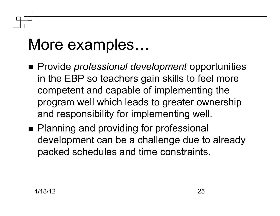## More examples…

- Provide *professional development* opportunities in the EBP so teachers gain skills to feel more competent and capable of implementing the program well which leads to greater ownership and responsibility for implementing well.
- Planning and providing for professional development can be a challenge due to already packed schedules and time constraints.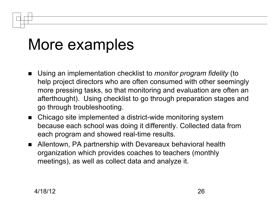## More examples

- Using an implementation checklist to *monitor program fidelity* (to help project directors who are often consumed with other seemingly more pressing tasks, so that monitoring and evaluation are often an afterthought). Using checklist to go through preparation stages and go through troubleshooting.
- Chicago site implemented a district-wide monitoring system because each school was doing it differently. Collected data from each program and showed real-time results.
- Allentown, PA partnership with Devareaux behavioral health organization which provides coaches to teachers (monthly meetings), as well as collect data and analyze it.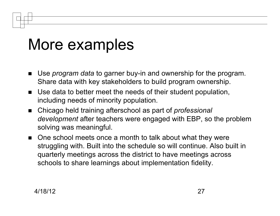## More examples

- Use *program data* to garner buy-in and ownership for the program. Share data with key stakeholders to build program ownership.
- Use data to better meet the needs of their student population, including needs of minority population.
- Chicago held training afterschool as part of *professional development* after teachers were engaged with EBP, so the problem solving was meaningful.
- One school meets once a month to talk about what they were struggling with. Built into the schedule so will continue. Also built in quarterly meetings across the district to have meetings across schools to share learnings about implementation fidelity.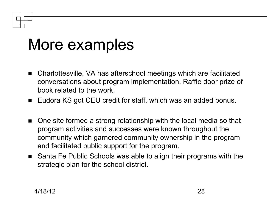## More examples

- Charlottesville, VA has afterschool meetings which are facilitated conversations about program implementation. Raffle door prize of book related to the work.
- Eudora KS got CEU credit for staff, which was an added bonus.
- One site formed a strong relationship with the local media so that program activities and successes were known throughout the community which garnered community ownership in the program and facilitated public support for the program.
- Santa Fe Public Schools was able to align their programs with the strategic plan for the school district.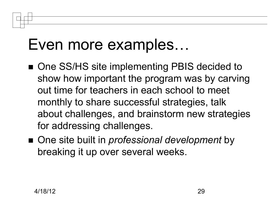### Even more examples…

- One SS/HS site implementing PBIS decided to show how important the program was by carving out time for teachers in each school to meet monthly to share successful strategies, talk about challenges, and brainstorm new strategies for addressing challenges.
- One site built in *professional development* by breaking it up over several weeks.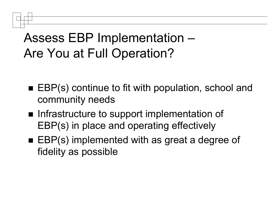#### Assess EBP Implementation – Are You at Full Operation?

- EBP(s) continue to fit with population, school and community needs
- **Infrastructure to support implementation of** EBP(s) in place and operating effectively
- EBP(s) implemented with as great a degree of fidelity as possible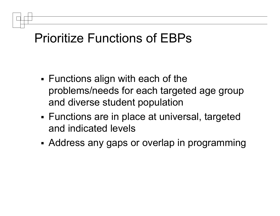#### Prioritize Functions of EBPs

- Functions align with each of the problems/needs for each targeted age group and diverse student population
- Functions are in place at universal, targeted and indicated levels
- Address any gaps or overlap in programming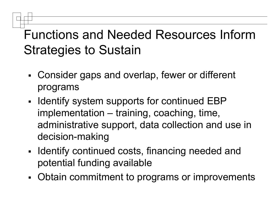#### Functions and Needed Resources Inform Strategies to Sustain

- Consider gaps and overlap, fewer or different programs
- I Identify system supports for continued EBP implementation – training, coaching, time, administrative support, data collection and use in decision-making
- **IDENTIFY** continued costs, financing needed and potential funding available
- Obtain commitment to programs or improvements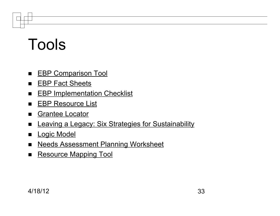## Tools

- **EBP Comparison Tool**
- **EBP Fact Sheets**
- **EBP Implementation Checklist**
- **EBP Resource List**
- Grantee Locator
- **Example 2 Engine Engine Strategies for Sustainability**
- **Logic Model**
- **Needs Assessment Planning Worksheet**
- Resource Mapping Tool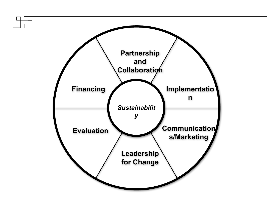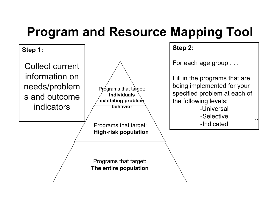#### **Program and Resource Mapping Tool**

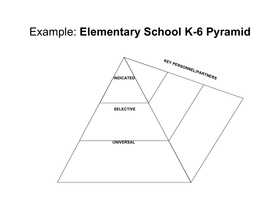#### Example: **Elementary School K-6 Pyramid**

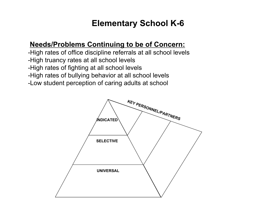#### **Elementary School K-6**

#### **Needs/Problems Continuing to be of Concern:**

-High rates of office discipline referrals at all school levels -High truancy rates at all school levels -High rates of fighting at all school levels -High rates of bullying behavior at all school levels -Low student perception of caring adults at school

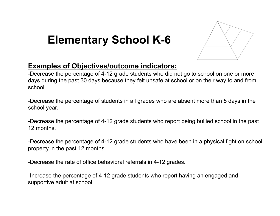#### **Elementary School K-6**



#### **Examples of Objectives/outcome indicators:**

-Decrease the percentage of 4-12 grade students who did not go to school on one or more days during the past 30 days because they felt unsafe at school or on their way to and from school.

-Decrease the percentage of students in all grades who are absent more than 5 days in the school year.

-Decrease the percentage of 4-12 grade students who report being bullied school in the past 12 months.

-Decrease the percentage of 4-12 grade students who have been in a physical fight on school property in the past 12 months.

-Decrease the rate of office behavioral referrals in 4-12 grades.

-Increase the percentage of 4-12 grade students who report having an engaged and supportive adult at school.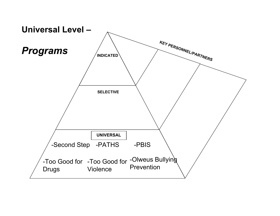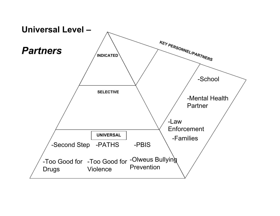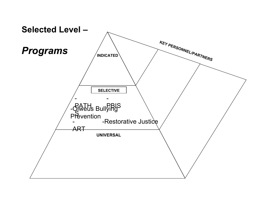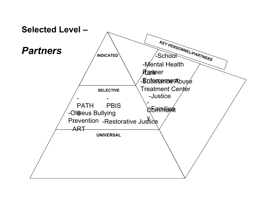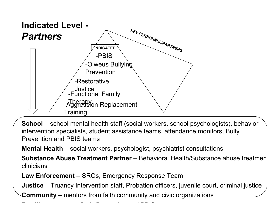

**School** – school mental health staff (social workers, school psychologists), behavior intervention specialists, student assistance teams, attendance monitors, Bully Prevention and PBIS teams

**Mental Health** – social workers, psychologist, psychiatrist consultations

**Substance Abuse Treatment Partner** – Behavioral Health/Substance abuse treatment clinicians

**Law Enforcement** – SROs, Emergency Response Team

**Justice** – Truancy Intervention staff, Probation officers, juvenile court, criminal justice

**Community** – mentors from faith community and civic organizations

**Families** – serve on Bully Prevention and PBIS teams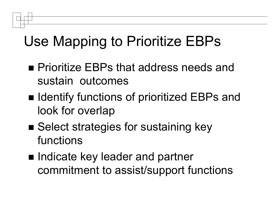#### Use Mapping to Prioritize EBPs

- **Prioritize EBPs that address needs and** sustain outcomes
- Identify functions of prioritized EBPs and look for overlap
- Select strategies for sustaining key functions
- Indicate key leader and partner commitment to assist/support functions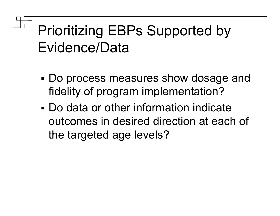#### Prioritizing EBPs Supported by Evidence/Data

- Do process measures show dosage and fidelity of program implementation?
- Do data or other information indicate outcomes in desired direction at each of the targeted age levels?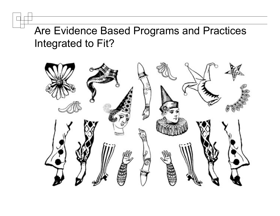#### Are Evidence Based Programs and Practices Integrated to Fit?

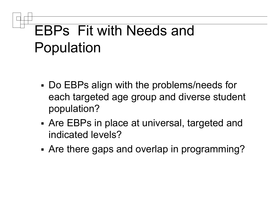## EBPs Fit with Needs and Population

- Do EBPs align with the problems/needs for each targeted age group and diverse student population?
- Are EBPs in place at universal, targeted and indicated levels?
- Are there gaps and overlap in programming?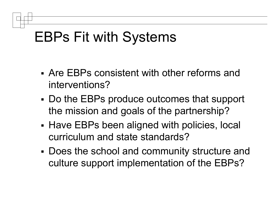#### EBPs Fit with Systems

- Are EBPs consistent with other reforms and interventions?
- Do the EBPs produce outcomes that support the mission and goals of the partnership?
- **Have EBPs been aligned with policies, local** curriculum and state standards?
- Does the school and community structure and culture support implementation of the EBPs?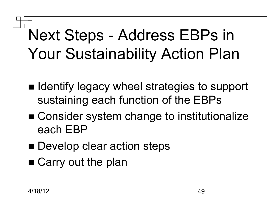## Next Steps - Address EBPs in Your Sustainability Action Plan

- Identify legacy wheel strategies to support sustaining each function of the EBPs
- Consider system change to institutionalize each EBP
- Develop clear action steps
- Carry out the plan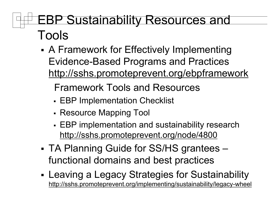#### EBP Sustainability Resources and Tools

 A Framework for Effectively Implementing Evidence-Based Programs and Practices http://sshs.promoteprevent.org/ebpframework

Framework Tools and Resources

- EBP Implementation Checklist
- Resource Mapping Tool
- EBP implementation and sustainability research http://sshs.promoteprevent.org/node/4800
- TA Planning Guide for SS/HS grantees functional domains and best practices
- Leaving a Legacy Strategies for Sustainability http://sshs.promoteprevent.org/implementing/sustainability/legacy-wheel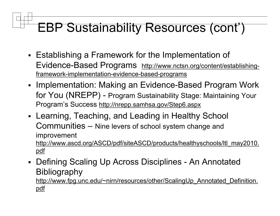#### EBP Sustainability Resources (cont')

- Establishing a Framework for the Implementation of Evidence-Based Programs http://www.nctsn.org/content/establishingframework-implementation-evidence-based-programs
- Implementation: Making an Evidence-Based Program Work for You (NREPP) - Program Sustainability Stage: Maintaining Your Program's Success http://nrepp.samhsa.gov/Step6.aspx
- Learning, Teaching, and Leading in Healthy School Communities – Nine levers of school system change and improvement http://www.ascd.org/ASCD/pdf/siteASCD/products/healthyschools/ltl\_may2010. pdf
- Defining Scaling Up Across Disciplines An Annotated **Bibliography**

http://www.fpg.unc.edu/~nirn/resources/other/ScalingUp\_Annotated\_Definition. pdf